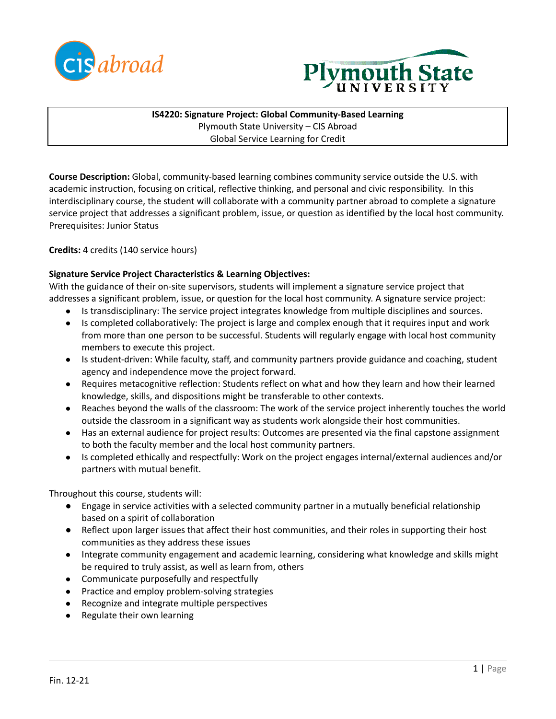



**IS4220: Signature Project: Global Community-Based Learning** Plymouth State University – CIS Abroad Global Service Learning for Credit

**Course Description:** Global, community-based learning combines community service outside the U.S. with academic instruction, focusing on critical, reflective thinking, and personal and civic responsibility. In this interdisciplinary course, the student will collaborate with a community partner abroad to complete a signature service project that addresses a significant problem, issue, or question as identified by the local host community. Prerequisites: Junior Status

**Credits:** 4 credits (140 service hours)

## **Signature Service Project Characteristics & Learning Objectives:**

With the guidance of their on-site supervisors, students will implement a signature service project that addresses a significant problem, issue, or question for the local host community. A signature service project:

- Is transdisciplinary: The service project integrates knowledge from multiple disciplines and sources.
- Is completed collaboratively: The project is large and complex enough that it requires input and work from more than one person to be successful. Students will regularly engage with local host community members to execute this project.
- Is student-driven: While faculty, staff, and community partners provide guidance and coaching, student agency and independence move the project forward.
- Requires metacognitive reflection: Students reflect on what and how they learn and how their learned knowledge, skills, and dispositions might be transferable to other contexts.
- Reaches beyond the walls of the classroom: The work of the service project inherently touches the world outside the classroom in a significant way as students work alongside their host communities.
- Has an external audience for project results: Outcomes are presented via the final capstone assignment to both the faculty member and the local host community partners.
- Is completed ethically and respectfully: Work on the project engages internal/external audiences and/or partners with mutual benefit.

Throughout this course, students will:

- Engage in service activities with a selected community partner in a mutually beneficial relationship based on a spirit of collaboration
- Reflect upon larger issues that affect their host communities, and their roles in supporting their host communities as they address these issues
- Integrate community engagement and academic learning, considering what knowledge and skills might be required to truly assist, as well as learn from, others
- Communicate purposefully and respectfully
- Practice and employ problem-solving strategies
- Recognize and integrate multiple perspectives
- Regulate their own learning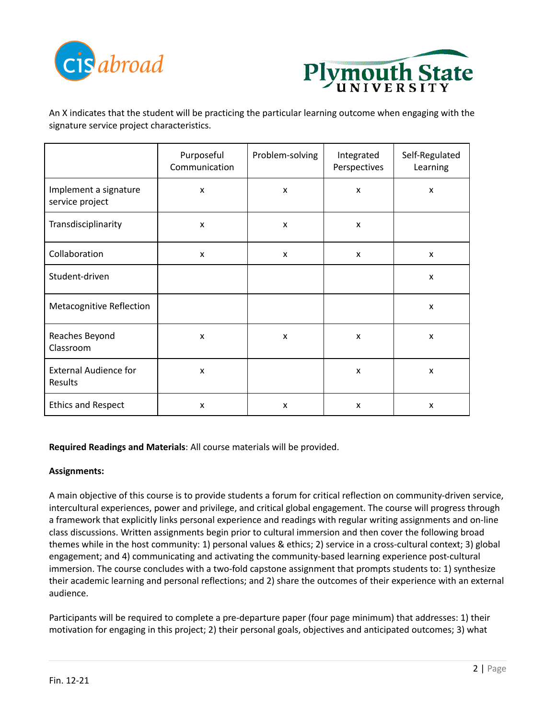



An X indicates that the student will be practicing the particular learning outcome when engaging with the signature service project characteristics.

|                                          | Purposeful<br>Communication | Problem-solving | Integrated<br>Perspectives | Self-Regulated<br>Learning |
|------------------------------------------|-----------------------------|-----------------|----------------------------|----------------------------|
| Implement a signature<br>service project | $\boldsymbol{\mathsf{x}}$   | X               | X                          | X                          |
| Transdisciplinarity                      | X                           | X               | x                          |                            |
| Collaboration                            | X                           | X               | x                          | x                          |
| Student-driven                           |                             |                 |                            | X                          |
| <b>Metacognitive Reflection</b>          |                             |                 |                            | X                          |
| Reaches Beyond<br>Classroom              | $\boldsymbol{\mathsf{x}}$   | x               | x                          | x                          |
| <b>External Audience for</b><br>Results  | $\boldsymbol{\mathsf{x}}$   |                 | X                          | X                          |
| <b>Ethics and Respect</b>                | X                           | x               | X                          | X                          |

**Required Readings and Materials**: All course materials will be provided.

## **Assignments:**

A main objective of this course is to provide students a forum for critical reflection on community-driven service, intercultural experiences, power and privilege, and critical global engagement. The course will progress through a framework that explicitly links personal experience and readings with regular writing assignments and on-line class discussions. Written assignments begin prior to cultural immersion and then cover the following broad themes while in the host community: 1) personal values & ethics; 2) service in a cross-cultural context; 3) global engagement; and 4) communicating and activating the community-based learning experience post-cultural immersion. The course concludes with a two-fold capstone assignment that prompts students to: 1) synthesize their academic learning and personal reflections; and 2) share the outcomes of their experience with an external audience.

Participants will be required to complete a pre-departure paper (four page minimum) that addresses: 1) their motivation for engaging in this project; 2) their personal goals, objectives and anticipated outcomes; 3) what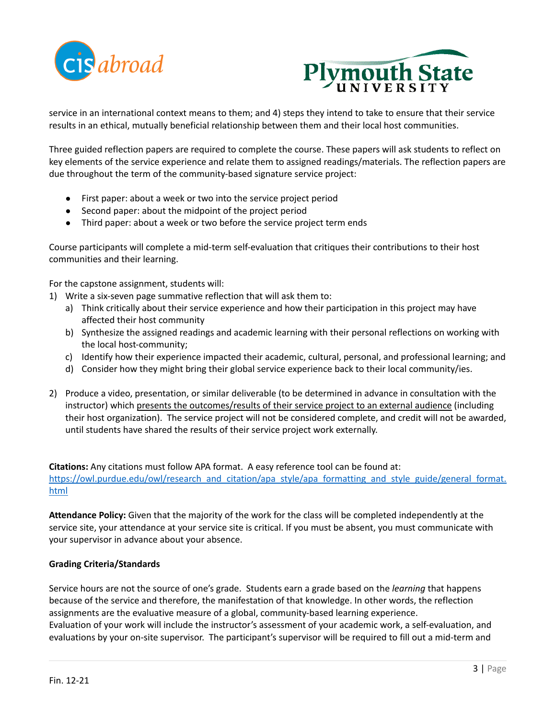



service in an international context means to them; and 4) steps they intend to take to ensure that their service results in an ethical, mutually beneficial relationship between them and their local host communities.

Three guided reflection papers are required to complete the course. These papers will ask students to reflect on key elements of the service experience and relate them to assigned readings/materials. The reflection papers are due throughout the term of the community-based signature service project:

- First paper: about a week or two into the service project period
- Second paper: about the midpoint of the project period
- Third paper: about a week or two before the service project term ends

Course participants will complete a mid-term self-evaluation that critiques their contributions to their host communities and their learning.

For the capstone assignment, students will:

- 1) Write a six-seven page summative reflection that will ask them to:
	- a) Think critically about their service experience and how their participation in this project may have affected their host community
	- b) Synthesize the assigned readings and academic learning with their personal reflections on working with the local host-community;
	- c) Identify how their experience impacted their academic, cultural, personal, and professional learning; and
	- d) Consider how they might bring their global service experience back to their local community/ies.
- 2) Produce a video, presentation, or similar deliverable (to be determined in advance in consultation with the instructor) which presents the outcomes/results of their service project to an external audience (including their host organization). The service project will not be considered complete, and credit will not be awarded, until students have shared the results of their service project work externally.

**Citations:** Any citations must follow APA format. A easy reference tool can be found at: [https://owl.purdue.edu/owl/research\\_and\\_citation/apa\\_style/apa\\_formatting\\_and\\_style\\_guide/general\\_format.](https://owl.purdue.edu/owl/research_and_citation/apa_style/apa_formatting_and_style_guide/general_format.html) [html](https://owl.purdue.edu/owl/research_and_citation/apa_style/apa_formatting_and_style_guide/general_format.html)

**Attendance Policy:** Given that the majority of the work for the class will be completed independently at the service site, your attendance at your service site is critical. If you must be absent, you must communicate with your supervisor in advance about your absence.

## **Grading Criteria/Standards**

Service hours are not the source of one's grade. Students earn a grade based on the *learning* that happens because of the service and therefore, the manifestation of that knowledge. In other words, the reflection assignments are the evaluative measure of a global, community-based learning experience. Evaluation of your work will include the instructor's assessment of your academic work, a self-evaluation, and evaluations by your on-site supervisor. The participant's supervisor will be required to fill out a mid-term and